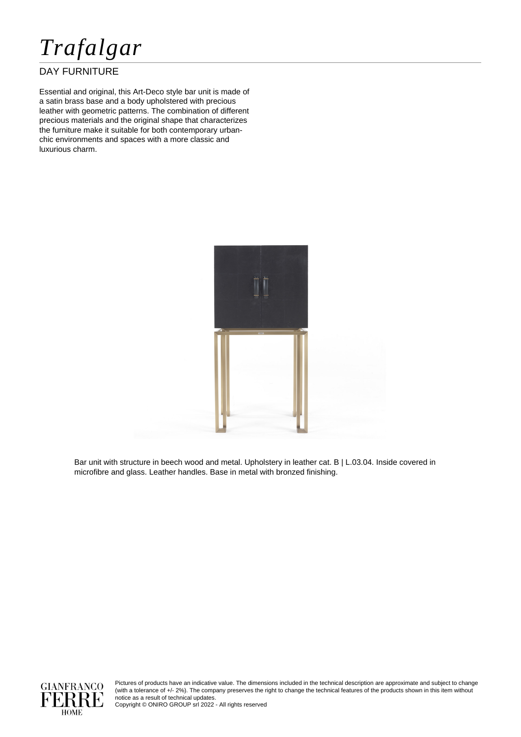

## DAY FURNITURE

Essential and original, this Art-Deco style bar unit is made of a satin brass base and a body upholstered with precious leather with geometric patterns. The combination of different precious materials and the original shape that characterizes the furniture make it suitable for both contemporary urbanchic environments and spaces with a more classic and luxurious charm.



Bar unit with structure in beech wood and metal. Upholstery in leather cat. B | L.03.04. Inside covered in microfibre and glass. Leather handles. Base in metal with bronzed finishing.



Pictures of products have an indicative value. The dimensions included in the technical description are approximate and subject to change (with a tolerance of +/- 2%). The company preserves the right to change the technical features of the products shown in this item without notice as a result of technical updates.

Copyright © ONIRO GROUP srl 2022 - All rights reserved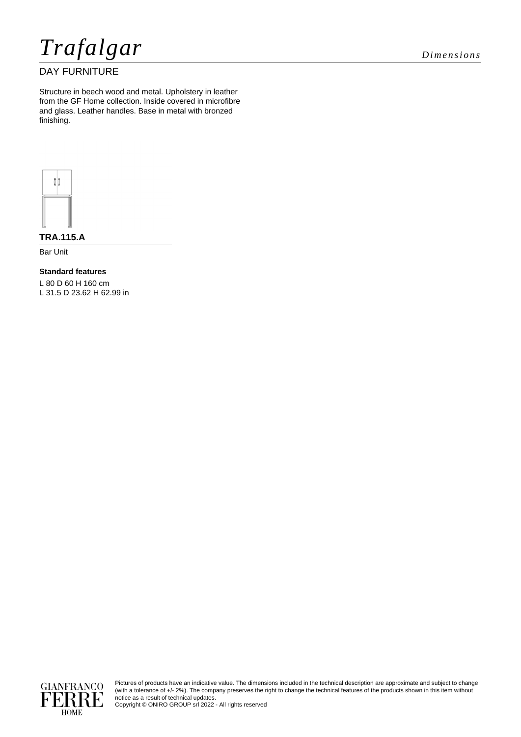*Trafalgar Dimensions*

# DAY FURNITURE

Structure in beech wood and metal. Upholstery in leather from the GF Home collection. Inside covered in microfibre and glass. Leather handles. Base in metal with bronzed finishing.



**TRA.115.A**

Bar Unit

**Standard features**

L 80 D 60 H 160 cm L 31.5 D 23.62 H 62.99 in



Pictures of products have an indicative value. The dimensions included in the technical description are approximate and subject to change (with a tolerance of +/- 2%). The company preserves the right to change the technical features of the products shown in this item without notice as a result of technical updates.